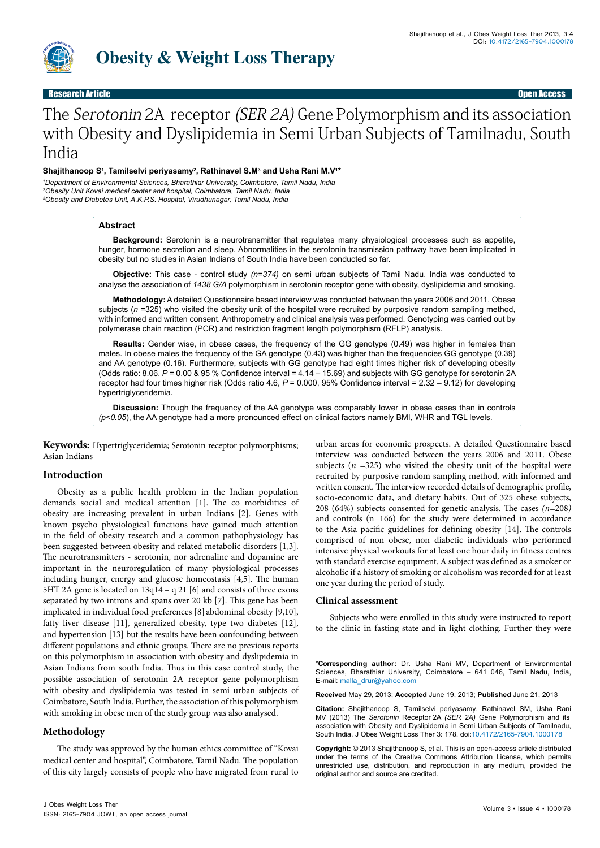

## Research Article Open Access

# The Serotonin 2A receptor (SER 2A) Gene Polymorphism and its association with Obesity and Dyslipidemia in Semi Urban Subjects of Tamilnadu, South India

## Shajithanoop S<sup>1</sup>, Tamilselvi periyasamy<sup>2</sup>, Rathinavel S.M<sup>3</sup> and Usha Rani M.V<sup>1</sup>\*

*1 Department of Environmental Sciences, Bharathiar University, Coimbatore, Tamil Nadu, India 2 Obesity Unit Kovai medical center and hospital, Coimbatore, Tamil Nadu, India 3 Obesity and Diabetes Unit, A.K.P.S. Hospital, Virudhunagar, Tamil Nadu, India*

### **Abstract**

**Background:** Serotonin is a neurotransmitter that regulates many physiological processes such as appetite, hunger, hormone secretion and sleep. Abnormalities in the serotonin transmission pathway have been implicated in obesity but no studies in Asian Indians of South India have been conducted so far.

**Objective:** This case - control study *(n=374)* on semi urban subjects of Tamil Nadu, India was conducted to analyse the association of *1438 G/A* polymorphism in serotonin receptor gene with obesity, dyslipidemia and smoking.

**Methodology:** A detailed Questionnaire based interview was conducted between the years 2006 and 2011. Obese subjects ( $n = 325$ ) who visited the obesity unit of the hospital were recruited by purposive random sampling method, with informed and written consent. Anthropometry and clinical analysis was performed. Genotyping was carried out by polymerase chain reaction (PCR) and restriction fragment length polymorphism (RFLP) analysis.

**Results:** Gender wise, in obese cases, the frequency of the GG genotype (0.49) was higher in females than males. In obese males the frequency of the GA genotype (0.43) was higher than the frequencies GG genotype (0.39) and AA genotype (0.16). Furthermore, subjects with GG genotype had eight times higher risk of developing obesity (Odds ratio: 8.06, *P* = 0.00 & 95 % Confidence interval = 4.14 – 15.69) and subjects with GG genotype for serotonin 2A receptor had four times higher risk (Odds ratio 4.6,  $P = 0.000$ , 95% Confidence interval = 2.32 - 9.12) for developing hypertriglyceridemia.

**Discussion:** Though the frequency of the AA genotype was comparably lower in obese cases than in controls *(p<0.05*), the AA genotype had a more pronounced effect on clinical factors namely BMI, WHR and TGL levels.

**Keywords:** Hypertriglyceridemia; Serotonin receptor polymorphisms; Asian Indians

## **Introduction**

Obesity as a public health problem in the Indian population demands social and medical attention [1]. The co morbidities of obesity are increasing prevalent in urban Indians [2]. Genes with known psycho physiological functions have gained much attention in the field of obesity research and a common pathophysiology has been suggested between obesity and related metabolic disorders [1,3]. The neurotransmitters - serotonin, nor adrenaline and dopamine are important in the neuroregulation of many physiological processes including hunger, energy and glucose homeostasis [4,5]. The human 5HT 2A gene is located on 13q14 – q 21 [6] and consists of three exons separated by two introns and spans over 20 kb [7]. This gene has been implicated in individual food preferences [8] abdominal obesity [9,10], fatty liver disease [11], generalized obesity, type two diabetes [12], and hypertension [13] but the results have been confounding between different populations and ethnic groups. There are no previous reports on this polymorphism in association with obesity and dyslipidemia in Asian Indians from south India. Thus in this case control study, the possible association of serotonin 2A receptor gene polymorphism with obesity and dyslipidemia was tested in semi urban subjects of Coimbatore, South India. Further, the association of this polymorphism with smoking in obese men of the study group was also analysed.

## **Methodology**

The study was approved by the human ethics committee of "Kovai medical center and hospital", Coimbatore, Tamil Nadu. The population of this city largely consists of people who have migrated from rural to urban areas for economic prospects. A detailed Questionnaire based interview was conducted between the years 2006 and 2011. Obese subjects (*n =*325) who visited the obesity unit of the hospital were recruited by purposive random sampling method, with informed and written consent. The interview recorded details of demographic profile, socio-economic data, and dietary habits. Out of 325 obese subjects, 208 (64%) subjects consented for genetic analysis. The cases *(n=*208*)* and controls (n*=*166) for the study were determined in accordance to the Asia pacific guidelines for defining obesity [14]. The controls comprised of non obese, non diabetic individuals who performed intensive physical workouts for at least one hour daily in fitness centres with standard exercise equipment. A subject was defined as a smoker or alcoholic if a history of smoking or alcoholism was recorded for at least one year during the period of study.

#### **Clinical assessment**

Subjects who were enrolled in this study were instructed to report to the clinic in fasting state and in light clothing. Further they were

**\*Corresponding author:** Dr. Usha Rani MV, Department of Environmental Sciences, Bharathiar University, Coimbatore – 641 046, Tamil Nadu, India, E-mail: malla\_drur@yahoo.com

**Received** May 29, 2013; **Accepted** June 19, 2013; **Published** June 21, 2013

**Citation:** Shajithanoop S, Tamilselvi periyasamy, Rathinavel SM, Usha Rani MV (2013) The *Serotonin* Receptor 2A *(SER 2A)* Gene Polymorphism and its association with Obesity and Dyslipidemia in Semi Urban Subjects of Tamilnadu, South India. J Obes Weight Loss Ther 3: 178. doi:10.4172/2165-7904.1000178

**Copyright:** © 2013 Shajithanoop S, et al. This is an open-access article distributed under the terms of the Creative Commons Attribution License, which permits unrestricted use, distribution, and reproduction in any medium, provided the original author and source are credited.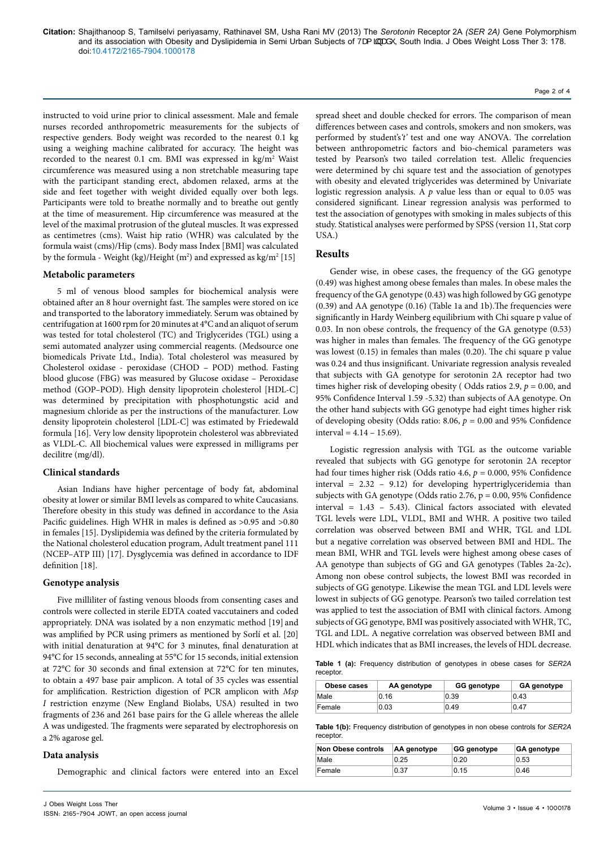**Citation:** Shajithanoop S, Tamilselvi periyasamy, Rathinavel SM, Usha Rani MV (2013) The *Serotonin* Receptor 2A *(SER 2A)* Gene Polymorphism and its association with Obesity and Dyslipidemia in Semi Urban Subjects of Va [4] and its association with Obes Ther 3: 178. doi:10.4172/2165-7904.1000178

instructed to void urine prior to clinical assessment. Male and female nurses recorded anthropometric measurements for the subjects of respective genders. Body weight was recorded to the nearest 0.1 kg using a weighing machine calibrated for accuracy. The height was recorded to the nearest 0.1 cm. BMI was expressed in kg/m<sup>2</sup> Waist circumference was measured using a non stretchable measuring tape with the participant standing erect, abdomen relaxed, arms at the side and feet together with weight divided equally over both legs. Participants were told to breathe normally and to breathe out gently at the time of measurement. Hip circumference was measured at the level of the maximal protrusion of the gluteal muscles. It was expressed as centimetres (cms). Waist hip ratio (WHR) was calculated by the formula waist (cms)/Hip (cms). Body mass Index [BMI] was calculated by the formula - Weight (kg)/Height (m²) and expressed as kg/m² [15]

#### **Metabolic parameters**

5 ml of venous blood samples for biochemical analysis were obtained after an 8 hour overnight fast. The samples were stored on ice and transported to the laboratory immediately. Serum was obtained by centrifugation at 1600 rpm for 20 minutes at 4°C and an aliquot of serum was tested for total cholesterol (TC) and Triglycerides (TGL) using a semi automated analyzer using commercial reagents. (Medsource one biomedicals Private Ltd., India). Total cholesterol was measured by Cholesterol oxidase - peroxidase (CHOD – POD) method. Fasting blood glucose (FBG) was measured by Glucose oxidase – Peroxidase method (GOP–POD). High density lipoprotein cholesterol [HDL-C] was determined by precipitation with phosphotungstic acid and magnesium chloride as per the instructions of the manufacturer. Low density lipoprotein cholesterol [LDL-C] was estimated by Friedewald formula [16]. Very low density lipoprotein cholesterol was abbreviated as VLDL-C. All biochemical values were expressed in milligrams per decilitre (mg/dl).

### **Clinical standards**

Asian Indians have higher percentage of body fat, abdominal obesity at lower or similar BMI levels as compared to white Caucasians. Therefore obesity in this study was defined in accordance to the Asia Pacific guidelines. High WHR in males is defined as >0.95 and >0.80 in females [15]. Dyslipidemia was defined by the criteria formulated by the National cholesterol education program, Adult treatment panel 111 (NCEP–ATP III) [17]. Dysglycemia was defined in accordance to IDF definition [18].

#### **Genotype analysis**

Five milliliter of fasting venous bloods from consenting cases and controls were collected in sterile EDTA coated vaccutainers and coded appropriately. DNA was isolated by a non enzymatic method [19] and was amplified by PCR using primers as mentioned by Sorlí et al. [20] with initial denaturation at 94°C for 3 minutes, final denaturation at 94°C for 15 seconds, annealing at 55°C for 15 seconds, initial extension at 72°C for 30 seconds and final extension at 72°C for ten minutes, to obtain a 497 base pair amplicon. A total of 35 cycles was essential for amplification. Restriction digestion of PCR amplicon with *Msp I* restriction enzyme (New England Biolabs, USA) resulted in two fragments of 236 and 261 base pairs for the G allele whereas the allele A was undigested. The fragments were separated by electrophoresis on a 2% agarose gel.

### **Data analysis**

Demographic and clinical factors were entered into an Excel

**Obese cases AA genotype GG genotype GA genotype** Male 0.16 0.39 0.43 receptor

| Table 1(b): Frequency distribution of genotypes in non obese controls for SER2A |  |
|---------------------------------------------------------------------------------|--|
| recentor                                                                        |  |

| Non Obese controls | AA genotype | <b>GG genotype</b> | <b>GA genotype</b> |
|--------------------|-------------|--------------------|--------------------|
| Male               | 0.25        | 0.20               | 0.53               |
| Female             | 0.37        | 0.15               | 0.46               |

spread sheet and double checked for errors. The comparison of mean differences between cases and controls, smokers and non smokers, was performed by student's*'t'* test and one way ANOVA. The correlation between anthropometric factors and bio-chemical parameters was tested by Pearson's two tailed correlation test. Allelic frequencies were determined by chi square test and the association of genotypes with obesity and elevated triglycerides was determined by Univariate logistic regression analysis. A *p* value less than or equal to 0.05 was considered significant. Linear regression analysis was performed to test the association of genotypes with smoking in males subjects of this study. Statistical analyses were performed by SPSS (version 11, Stat corp USA.)

Page 2 of 4

## **Results**

Gender wise, in obese cases, the frequency of the GG genotype (0.49) was highest among obese females than males. In obese males the frequency of the GA genotype (0.43) was high followed by GG genotype (0.39) and AA genotype (0.16) (Table 1a and 1b).The frequencies were significantly in Hardy Weinberg equilibrium with Chi square p value of 0.03. In non obese controls, the frequency of the GA genotype (0.53) was higher in males than females. The frequency of the GG genotype was lowest (0.15) in females than males (0.20). The chi square p value was 0.24 and thus insignificant. Univariate regression analysis revealed that subjects with GA genotype for serotonin 2A receptor had two times higher risk of developing obesity (Odds ratios 2.9,  $p = 0.00$ , and 95% Confidence Interval 1.59 -5.32) than subjects of AA genotype. On the other hand subjects with GG genotype had eight times higher risk of developing obesity (Odds ratio: 8.06,  $p = 0.00$  and 95% Confidence  $interval = 4.14 - 15.69$ .

Logistic regression analysis with TGL as the outcome variable revealed that subjects with GG genotype for serotonin 2A receptor had four times higher risk (Odds ratio 4.6, *p* = 0.000, 95% Confidence interval = 2.32 – 9.12) for developing hypertriglyceridemia than subjects with GA genotype (Odds ratio 2.76, p = 0.00, 95% Confidence interval = 1.43 – 5.43). Clinical factors associated with elevated TGL levels were LDL, VLDL, BMI and WHR. A positive two tailed correlation was observed between BMI and WHR, TGL and LDL but a negative correlation was observed between BMI and HDL. The mean BMI, WHR and TGL levels were highest among obese cases of AA genotype than subjects of GG and GA genotypes (Tables 2a-2c)**.** Among non obese control subjects, the lowest BMI was recorded in subjects of GG genotype. Likewise the mean TGL and LDL levels were lowest in subjects of GG genotype. Pearson's two tailed correlation test was applied to test the association of BMI with clinical factors. Among subjects of GG genotype, BMI was positively associated with WHR, TC, TGL and LDL. A negative correlation was observed between BMI and HDL which indicates that as BMI increases, the levels of HDL decrease.

**Table 1 (a):** Frequency distribution of genotypes in obese cases for *SER2A*

| Female    | 0.03 | 0.49                                                                                   | 047 |
|-----------|------|----------------------------------------------------------------------------------------|-----|
| receptor. |      | <b>Table 1(b):</b> Frequency distribution of genotypes in non obese controls for SER2A |     |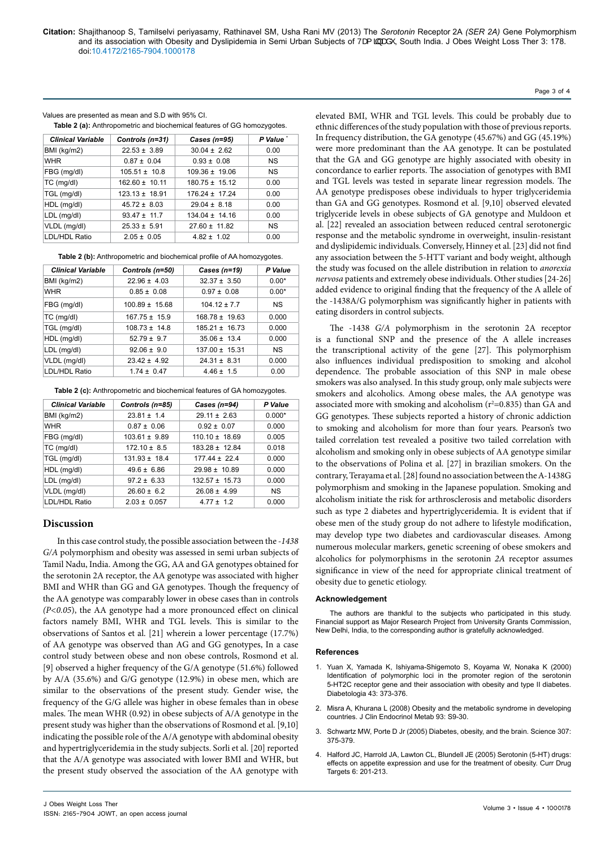Values are presented as mean and S.D with 95% CI.

**Table 2 (a):** Anthropometric and biochemical features of GG homozygotes.

| <b>Clinical Variable</b> | Controls (n=31)    | Cases (n=95)       | P Value * |
|--------------------------|--------------------|--------------------|-----------|
| BMI (kg/m2)              | $22.53 \pm 3.89$   | $30.04 \pm 2.62$   | 0.00      |
| <b>WHR</b>               | $0.87 \pm 0.04$    | $0.93 \pm 0.08$    | <b>NS</b> |
| FBG (mg/dl)              | $105.51 \pm 10.8$  | $109.36 \pm 19.06$ | <b>NS</b> |
| $TC$ (mg/dl)             | $162.60 \pm 10.11$ | $180.75 \pm 15.12$ | 0.00      |
| TGL (mg/dl)              | $123.13 \pm 18.91$ | $176.24 \pm 17.24$ | 0.00      |
| HDL (mg/dl)              | $45.72 \pm 8.03$   | $29.04 \pm 8.18$   | 0.00      |
| LDL (mg/dl)              | $93.47 \pm 11.7$   | $134.04 \pm 14.16$ | 0.00      |
| VLDL (mg/dl)             | $25.33 \pm 5.91$   | $27.60 \pm 11.82$  | <b>NS</b> |
| LDL/HDL Ratio            | $2.05 \pm 0.05$    | $4.82 \pm 1.02$    | 0.00      |

**Table 2 (b):** Anthropometric and biochemical profile of AA homozygotes.

| <b>Clinical Variable</b> | Controls (n=50)    | Cases $(n=19)$     | P Value   |
|--------------------------|--------------------|--------------------|-----------|
| BMI (kg/m2)              | $22.96 \pm 4.03$   | $32.37 \pm 3.50$   | $0.00*$   |
| <b>WHR</b>               | $0.85 \pm 0.08$    | $0.97 \pm 0.08$    | $0.00*$   |
| FBG (mg/dl)              | $100.89 \pm 15.68$ | $10412 + 77$       | <b>NS</b> |
| $TC$ (mg/dl)             | $167.75 \pm 15.9$  | $168.78 \pm 19.63$ | 0.000     |
| TGL (mg/dl)              | $108.73 \pm 14.8$  | $185.21 \pm 16.73$ | 0.000     |
| HDL (mg/dl)              | $52.79 \pm 9.7$    | $35.06 \pm 13.4$   | 0.000     |
| LDL (mg/dl)              | $92.06 \pm 9.0$    | $137.00 \pm 15.31$ | <b>NS</b> |
| VLDL (mg/dl)             | $23.42 \pm 4.92$   | $24.31 \pm 8.31$   | 0.000     |
| LDL/HDL Ratio            | $1.74 \pm 0.47$    | $4.46 \pm 1.5$     | 0.00      |

**Table 2 (c):** Anthropometric and biochemical features of GA homozygotes.

| <b>Clinical Variable</b> | Controls (n=85)   | Cases $(n=94)$     | P Value   |
|--------------------------|-------------------|--------------------|-----------|
| BMI (kg/m2)              | $23.81 \pm 1.4$   | $29.11 \pm 2.63$   | $0.000*$  |
| WHR                      | $0.87 \pm 0.06$   | $0.92 \pm 0.07$    | 0.000     |
| FBG (mg/dl)              | $103.61 \pm 9.89$ | $110.10 \pm 18.69$ | 0.005     |
| TC (mg/dl)               | $172.10 \pm 8.5$  | $183.28 \pm 12.84$ | 0.018     |
| TGL (mg/dl)              | $131.93 \pm 18.4$ | $17744 + 224$      | 0.000     |
| HDL (mg/dl)              | $49.6 \pm 6.86$   | $29.98 \pm 10.89$  | 0.000     |
| LDL (mg/dl)              | $97.2 \pm 6.33$   | $132.57 \pm 15.73$ | 0.000     |
| VLDL (mg/dl)             | $26.60 \pm 6.2$   | $26.08 \pm 4.99$   | <b>NS</b> |
| LDL/HDL Ratio            | $2.03 \pm 0.057$  | $477 + 12$         | 0.000     |

## **Discussion**

In this case control study, the possible association between the *-1438 G/A* polymorphism and obesity was assessed in semi urban subjects of Tamil Nadu, India. Among the GG, AA and GA genotypes obtained for the serotonin 2A receptor, the AA genotype was associated with higher BMI and WHR than GG and GA genotypes. Though the frequency of the AA genotype was comparably lower in obese cases than in controls *(P<0.05*), the AA genotype had a more pronounced effect on clinical factors namely BMI, WHR and TGL levels. This is similar to the observations of Santos et al. [21] wherein a lower percentage (17.7%) of AA genotype was observed than AG and GG genotypes, In a case control study between obese and non obese controls, Rosmond et al. [9] observed a higher frequency of the G/A genotype (51.6%) followed by A/A (35.6%) and G/G genotype (12.9%) in obese men, which are similar to the observations of the present study. Gender wise, the frequency of the G/G allele was higher in obese females than in obese males. The mean WHR (0.92) in obese subjects of A/A genotype in the present study was higher than the observations of Rosmond et al. [9,10] indicating the possible role of the A/A genotype with abdominal obesity and hypertriglyceridemia in the study subjects. Sorli et al. [20] reported that the A/A genotype was associated with lower BMI and WHR, but the present study observed the association of the AA genotype with elevated BMI, WHR and TGL levels. This could be probably due to ethnic differences of the study population with those of previous reports. In frequency distribution, the GA genotype (45.67%) and GG (45.19%) were more predominant than the AA genotype. It can be postulated that the GA and GG genotype are highly associated with obesity in concordance to earlier reports. The association of genotypes with BMI and TGL levels was tested in separate linear regression models. The AA genotype predisposes obese individuals to hyper triglyceridemia than GA and GG genotypes. Rosmond et al. [9,10] observed elevated triglyceride levels in obese subjects of GA genotype and Muldoon et al. [22] revealed an association between reduced central serotonergic response and the metabolic syndrome in overweight, insulin-resistant and dyslipidemic individuals. Conversely, Hinney et al. [23] did not find any association between the 5-HTT variant and body weight, although the study was focused on the allele distribution in relation to *anorexia nervosa* patients and extremely obese individuals. Other studies [24-26] added evidence to original finding that the frequency of the A allele of the -1438A/G polymorphism was significantly higher in patients with eating disorders in control subjects.

The -1438 *G/A* polymorphism in the serotonin 2A receptor is a functional SNP and the presence of the A allele increases the transcriptional activity of the gene [27]. This polymorphism also influences individual predisposition to smoking and alcohol dependence. The probable association of this SNP in male obese smokers was also analysed. In this study group, only male subjects were smokers and alcoholics. Among obese males, the AA genotype was associated more with smoking and alcoholism ( $r^2$ =0.835) than GA and GG genotypes. These subjects reported a history of chronic addiction to smoking and alcoholism for more than four years. Pearson's two tailed correlation test revealed a positive two tailed correlation with alcoholism and smoking only in obese subjects of AA genotype similar to the observations of Polina et al. [27] in brazilian smokers. On the contrary, Terayama et al. [28] found no association between the A-1438G polymorphism and smoking in the Japanese population. Smoking and alcoholism initiate the risk for arthrosclerosis and metabolic disorders such as type 2 diabetes and hypertriglyceridemia. It is evident that if obese men of the study group do not adhere to lifestyle modification, may develop type two diabetes and cardiovascular diseases. Among numerous molecular markers, genetic screening of obese smokers and alcoholics for polymorphisms in the serotonin *2A* receptor assumes significance in view of the need for appropriate clinical treatment of obesity due to genetic etiology.

#### **Acknowledgement**

The authors are thankful to the subjects who participated in this study. Financial support as Major Research Project from University Grants Commission, New Delhi, India, to the corresponding author is gratefully acknowledged.

#### **References**

- 1. [Yuan X, Yamada K, Ishiyama-Shigemoto S, Koyama W, Nonaka K \(2000\)](http://www.ncbi.nlm.nih.gov/pubmed/10768099)  Identification of polymorphic loci in the promoter region of the serotonin [5-HT2C receptor gene and their association with obesity and type II diabetes.](http://www.ncbi.nlm.nih.gov/pubmed/10768099)  [Diabetologia 43: 373-376.](http://www.ncbi.nlm.nih.gov/pubmed/10768099)
- 2. [Misra A, Khurana L \(2008\) Obesity and the metabolic syndrome in developing](http://www.ncbi.nlm.nih.gov/pubmed/18987276)  [countries. J Clin Endocrinol Metab 93: S9-30.](http://www.ncbi.nlm.nih.gov/pubmed/18987276)
- 3. [Schwartz MW, Porte D Jr \(2005\) Diabetes, obesity, and the brain. Science 307:](http://www.ncbi.nlm.nih.gov/pubmed/15662002)  [375-379.](http://www.ncbi.nlm.nih.gov/pubmed/15662002)
- 4. [Halford JC, Harrold JA, Lawton CL, Blundell JE \(2005\) Serotonin \(5-HT\) drugs:](http://www.ncbi.nlm.nih.gov/pubmed/15777190)  [effects on appetite expression and use for the treatment of obesity. Curr Drug](http://www.ncbi.nlm.nih.gov/pubmed/15777190)  [Targets 6: 201-213.](http://www.ncbi.nlm.nih.gov/pubmed/15777190)